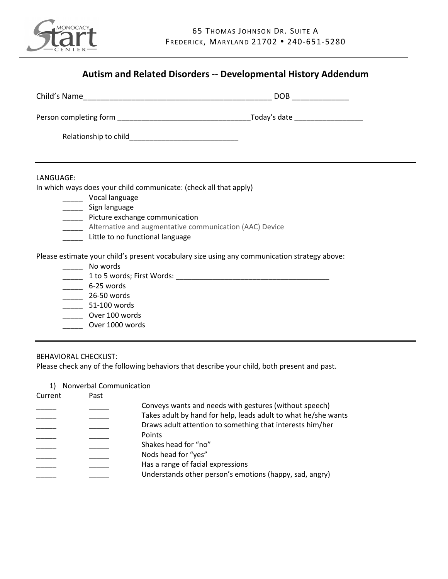

| LANGUAGE:                                                         |                                                                                              |  |  |
|-------------------------------------------------------------------|----------------------------------------------------------------------------------------------|--|--|
| In which ways does your child communicate: (check all that apply) |                                                                                              |  |  |
| ______ Vocal language                                             |                                                                                              |  |  |
| _______ Sign language<br>_____ Picture exchange communication     |                                                                                              |  |  |
| _____ Alternative and augmentative communication (AAC) Device     |                                                                                              |  |  |
| Little to no functional language                                  |                                                                                              |  |  |
|                                                                   | Please estimate your child's present vocabulary size using any communication strategy above: |  |  |
| ____ No words                                                     |                                                                                              |  |  |
|                                                                   |                                                                                              |  |  |
| $\frac{1}{2}$ 6-25 words                                          |                                                                                              |  |  |
| 26-50 words                                                       |                                                                                              |  |  |
| $\frac{1}{2}$ 51-100 words<br>Over 100 words                      |                                                                                              |  |  |
| Over 1000 words                                                   |                                                                                              |  |  |
|                                                                   |                                                                                              |  |  |

1) Nonverbal Communication

| Current | Past |                                                                |
|---------|------|----------------------------------------------------------------|
|         |      | Conveys wants and needs with gestures (without speech)         |
|         |      | Takes adult by hand for help, leads adult to what he/she wants |
|         |      | Draws adult attention to something that interests him/her      |
|         |      | Points                                                         |
|         |      | Shakes head for "no"                                           |
|         |      | Nods head for "yes"                                            |
|         |      | Has a range of facial expressions                              |
|         |      |                                                                |
|         |      | Understands other person's emotions (happy, sad, angry)        |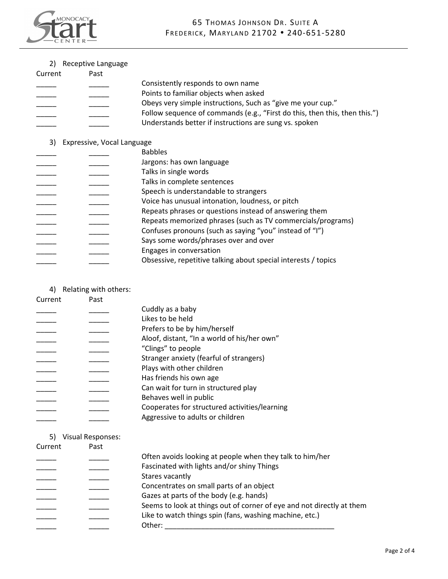

2) Receptive Language

| Current | Past |                                                                            |
|---------|------|----------------------------------------------------------------------------|
|         |      | Consistently responds to own name                                          |
|         |      | Points to familiar objects when asked                                      |
|         |      | Obeys very simple instructions, Such as "give me your cup."                |
|         |      | Follow sequence of commands (e.g., "First do this, then this, then this.") |
|         |      | Understands better if instructions are sung vs. spoken                     |

## 3) Expressive, Vocal Language

|  | <b>Babbles</b>                                                 |
|--|----------------------------------------------------------------|
|  | Jargons: has own language                                      |
|  | Talks in single words                                          |
|  | Talks in complete sentences                                    |
|  | Speech is understandable to strangers                          |
|  | Voice has unusual intonation, loudness, or pitch               |
|  | Repeats phrases or questions instead of answering them         |
|  | Repeats memorized phrases (such as TV commercials/programs)    |
|  | Confuses pronouns (such as saying "you" instead of "I")        |
|  | Says some words/phrases over and over                          |
|  | Engages in conversation                                        |
|  | Obsessive, repetitive talking about special interests / topics |
|  |                                                                |

4) Relating with others:

| Current | Past |                                               |
|---------|------|-----------------------------------------------|
|         |      | Cuddly as a baby                              |
|         |      | Likes to be held                              |
|         |      | Prefers to be by him/herself                  |
|         |      | Aloof, distant, "In a world of his/her own"   |
|         |      | "Clings" to people                            |
|         |      | Stranger anxiety (fearful of strangers)       |
|         |      | Plays with other children                     |
|         |      | Has friends his own age                       |
|         |      | Can wait for turn in structured play          |
|         |      | Behaves well in public                        |
|         |      | Cooperates for structured activities/learning |
|         |      | Aggressive to adults or children              |
|         |      |                                               |

### 5) Visual Responses:

| Current | Past |                                                                       |
|---------|------|-----------------------------------------------------------------------|
|         |      | Often avoids looking at people when they talk to him/her              |
|         |      | Fascinated with lights and/or shiny Things                            |
|         |      | Stares vacantly                                                       |
|         |      | Concentrates on small parts of an object                              |
|         |      | Gazes at parts of the body (e.g. hands)                               |
|         |      | Seems to look at things out of corner of eye and not directly at them |
|         |      | Like to watch things spin (fans, washing machine, etc.)               |
|         |      | Other:                                                                |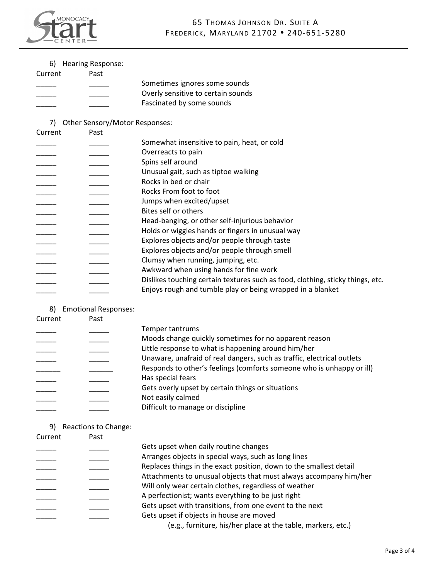

| 6) |  | <b>Hearing Response:</b> |
|----|--|--------------------------|
|----|--|--------------------------|

| Current | Past |                                    |
|---------|------|------------------------------------|
|         |      | Sometimes ignores some sounds      |
|         |      | Overly sensitive to certain sounds |
|         |      | Fascinated by some sounds          |

# 7) Other Sensory/Motor Responses:

| Current | Past |                                                                                |
|---------|------|--------------------------------------------------------------------------------|
|         |      | Somewhat insensitive to pain, heat, or cold                                    |
|         |      | Overreacts to pain                                                             |
|         |      | Spins self around                                                              |
|         |      | Unusual gait, such as tiptoe walking                                           |
|         |      | Rocks in bed or chair                                                          |
|         |      | Rocks From foot to foot                                                        |
|         |      | Jumps when excited/upset                                                       |
|         |      | Bites self or others                                                           |
|         |      | Head-banging, or other self-injurious behavior                                 |
|         |      | Holds or wiggles hands or fingers in unusual way                               |
|         |      | Explores objects and/or people through taste                                   |
|         |      | Explores objects and/or people through smell                                   |
|         |      | Clumsy when running, jumping, etc.                                             |
|         |      | Awkward when using hands for fine work                                         |
|         |      | Dislikes touching certain textures such as food, clothing, sticky things, etc. |
|         |      | Enjoys rough and tumble play or being wrapped in a blanket                     |

#### 8) Emotional Responses:

| Current | Past |                                                                        |
|---------|------|------------------------------------------------------------------------|
|         |      | Temper tantrums                                                        |
|         |      | Moods change quickly sometimes for no apparent reason                  |
|         |      | Little response to what is happening around him/her                    |
|         |      | Unaware, unafraid of real dangers, such as traffic, electrical outlets |
|         |      | Responds to other's feelings (comforts someone who is unhappy or ill)  |
|         |      | Has special fears                                                      |
|         |      | Gets overly upset by certain things or situations                      |
|         |      | Not easily calmed                                                      |
|         |      | Difficult to manage or discipline                                      |

9) Reactions to Change:

| Current | Past |                                                                    |
|---------|------|--------------------------------------------------------------------|
|         |      | Gets upset when daily routine changes                              |
|         |      | Arranges objects in special ways, such as long lines               |
|         |      | Replaces things in the exact position, down to the smallest detail |
|         |      | Attachments to unusual objects that must always accompany him/her  |
|         |      | Will only wear certain clothes, regardless of weather              |
|         |      | A perfectionist; wants everything to be just right                 |
|         |      | Gets upset with transitions, from one event to the next            |
|         |      | Gets upset if objects in house are moved                           |
|         |      | (e.g., furniture, his/her place at the table, markers, etc.)       |